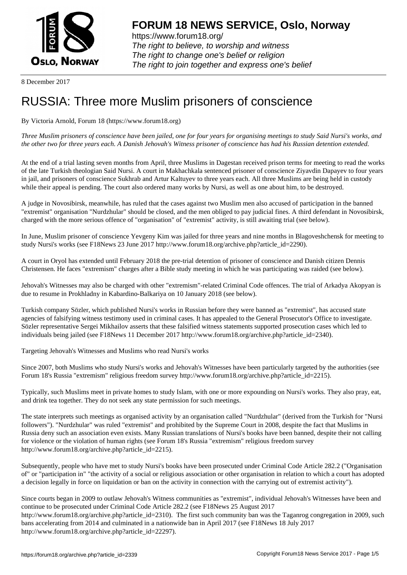

https://www.forum18.org/ The right to believe, to worship and witness The right to change one's belief or religion [The right to join together a](https://www.forum18.org/)nd express one's belief

8 December 2017

## [RUSSIA: Three](https://www.forum18.org) more Muslim prisoners of conscience

By Victoria Arnold, Forum 18 (https://www.forum18.org)

*Three Muslim prisoners of conscience have been jailed, one for four years for organising meetings to study Said Nursi's works, and the other two for three years each. A Danish Jehovah's Witness prisoner of conscience has had his Russian detention extended.*

At the end of a trial lasting seven months from April, three Muslims in Dagestan received prison terms for meeting to read the works of the late Turkish theologian Said Nursi. A court in Makhachkala sentenced prisoner of conscience Ziyavdin Dapayev to four years in jail, and prisoners of conscience Sukhrab and Artur Kaltuyev to three years each. All three Muslims are being held in custody while their appeal is pending. The court also ordered many works by Nursi, as well as one about him, to be destroyed.

A judge in Novosibirsk, meanwhile, has ruled that the cases against two Muslim men also accused of participation in the banned "extremist" organisation "Nurdzhular" should be closed, and the men obliged to pay judicial fines. A third defendant in Novosibirsk, charged with the more serious offence of "organisation" of "extremist" activity, is still awaiting trial (see below).

In June, Muslim prisoner of conscience Yevgeny Kim was jailed for three years and nine months in Blagoveshchensk for meeting to study Nursi's works (see F18News 23 June 2017 http://www.forum18.org/archive.php?article\_id=2290).

A court in Oryol has extended until February 2018 the pre-trial detention of prisoner of conscience and Danish citizen Dennis Christensen. He faces "extremism" charges after a Bible study meeting in which he was participating was raided (see below).

Jehovah's Witnesses may also be charged with other "extremism"-related Criminal Code offences. The trial of Arkadya Akopyan is due to resume in Prokhladny in Kabardino-Balkariya on 10 January 2018 (see below).

Turkish company Sözler, which published Nursi's works in Russian before they were banned as "extremist", has accused state agencies of falsifying witness testimony used in criminal cases. It has appealed to the General Prosecutor's Office to investigate. Sözler representative Sergei Mikhailov asserts that these falsified witness statements supported prosecution cases which led to individuals being jailed (see F18News 11 December 2017 http://www.forum18.org/archive.php?article\_id=2340).

Targeting Jehovah's Witnesses and Muslims who read Nursi's works

Since 2007, both Muslims who study Nursi's works and Jehovah's Witnesses have been particularly targeted by the authorities (see Forum 18's Russia "extremism" religious freedom survey http://www.forum18.org/archive.php?article\_id=2215).

Typically, such Muslims meet in private homes to study Islam, with one or more expounding on Nursi's works. They also pray, eat, and drink tea together. They do not seek any state permission for such meetings.

The state interprets such meetings as organised activity by an organisation called "Nurdzhular" (derived from the Turkish for "Nursi followers"). "Nurdzhular" was ruled "extremist" and prohibited by the Supreme Court in 2008, despite the fact that Muslims in Russia deny such an association even exists. Many Russian translations of Nursi's books have been banned, despite their not calling for violence or the violation of human rights (see Forum 18's Russia "extremism" religious freedom survey http://www.forum18.org/archive.php?article\_id=2215).

Subsequently, people who have met to study Nursi's books have been prosecuted under Criminal Code Article 282.2 ("Organisation of" or "participation in" "the activity of a social or religious association or other organisation in relation to which a court has adopted a decision legally in force on liquidation or ban on the activity in connection with the carrying out of extremist activity").

Since courts began in 2009 to outlaw Jehovah's Witness communities as "extremist", individual Jehovah's Witnesses have been and continue to be prosecuted under Criminal Code Article 282.2 (see F18News 25 August 2017 http://www.forum18.org/archive.php?article\_id=2310). The first such community ban was the Taganrog congregation in 2009, such bans accelerating from 2014 and culminated in a nationwide ban in April 2017 (see F18News 18 July 2017 http://www.forum18.org/archive.php?article\_id=22297).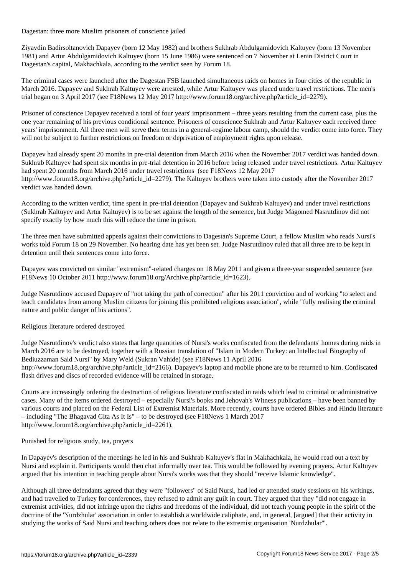Dagestan: three more Muslim prisoners of conscience jailed

Ziyavdin Badirsoltanovich Dapayev (born 12 May 1982) and brothers Sukhrab Abdulgamidovich Kaltuyev (born 13 November 1981) and Artur Abdulgamidovich Kaltuyev (born 15 June 1986) were sentenced on 7 November at Lenin District Court in Dagestan's capital, Makhachkala, according to the verdict seen by Forum 18.

The criminal cases were launched after the Dagestan FSB launched simultaneous raids on homes in four cities of the republic in March 2016. Dapayev and Sukhrab Kaltuyev were arrested, while Artur Kaltuyev was placed under travel restrictions. The men's trial began on 3 April 2017 (see F18News 12 May 2017 http://www.forum18.org/archive.php?article\_id=2279).

Prisoner of conscience Dapayev received a total of four years' imprisonment – three years resulting from the current case, plus the one year remaining of his previous conditional sentence. Prisoners of conscience Sukhrab and Artur Kaltuyev each received three years' imprisonment. All three men will serve their terms in a general-regime labour camp, should the verdict come into force. They will not be subject to further restrictions on freedom or deprivation of employment rights upon release.

Dapayev had already spent 20 months in pre-trial detention from March 2016 when the November 2017 verdict was handed down. Sukhrab Kaltuyev had spent six months in pre-trial detention in 2016 before being released under travel restrictions. Artur Kaltuyev had spent 20 months from March 2016 under travel restrictions (see F18News 12 May 2017 http://www.forum18.org/archive.php?article\_id=2279). The Kaltuyev brothers were taken into custody after the November 2017 verdict was handed down.

According to the written verdict, time spent in pre-trial detention (Dapayev and Sukhrab Kaltuyev) and under travel restrictions (Sukhrab Kaltuyev and Artur Kaltuyev) is to be set against the length of the sentence, but Judge Magomed Nasrutdinov did not specify exactly by how much this will reduce the time in prison.

The three men have submitted appeals against their convictions to Dagestan's Supreme Court, a fellow Muslim who reads Nursi's works told Forum 18 on 29 November. No hearing date has yet been set. Judge Nasrutdinov ruled that all three are to be kept in detention until their sentences come into force.

Dapayev was convicted on similar "extremism"-related charges on 18 May 2011 and given a three-year suspended sentence (see F18News 10 October 2011 http://www.forum18.org/Archive.php?article\_id=1623).

Judge Nasrutdinov accused Dapayev of "not taking the path of correction" after his 2011 conviction and of working "to select and teach candidates from among Muslim citizens for joining this prohibited religious association", while "fully realising the criminal nature and public danger of his actions".

## Religious literature ordered destroyed

Judge Nasrutdinov's verdict also states that large quantities of Nursi's works confiscated from the defendants' homes during raids in March 2016 are to be destroyed, together with a Russian translation of "Islam in Modern Turkey: an Intellectual Biography of Bediuzzaman Said Nursi" by Mary Weld (Sukran Vahide) (see F18News 11 April 2016 http://www.forum18.org/archive.php?article\_id=2166). Dapayev's laptop and mobile phone are to be returned to him. Confiscated flash drives and discs of recorded evidence will be retained in storage.

Courts are increasingly ordering the destruction of religious literature confiscated in raids which lead to criminal or administrative cases. Many of the items ordered destroyed – especially Nursi's books and Jehovah's Witness publications – have been banned by various courts and placed on the Federal List of Extremist Materials. More recently, courts have ordered Bibles and Hindu literature – including "The Bhagavad Gita As It Is" – to be destroyed (see F18News 1 March 2017 http://www.forum18.org/archive.php?article\_id=2261).

Punished for religious study, tea, prayers

In Dapayev's description of the meetings he led in his and Sukhrab Kaltuyev's flat in Makhachkala, he would read out a text by Nursi and explain it. Participants would then chat informally over tea. This would be followed by evening prayers. Artur Kaltuyev argued that his intention in teaching people about Nursi's works was that they should "receive Islamic knowledge".

Although all three defendants agreed that they were "followers" of Said Nursi, had led or attended study sessions on his writings, and had travelled to Turkey for conferences, they refused to admit any guilt in court. They argued that they "did not engage in extremist activities, did not infringe upon the rights and freedoms of the individual, did not teach young people in the spirit of the doctrine of the 'Nurdzhular' association in order to establish a worldwide caliphate, and, in general, [argued] that their activity in studying the works of Said Nursi and teaching others does not relate to the extremist organisation 'Nurdzhular'".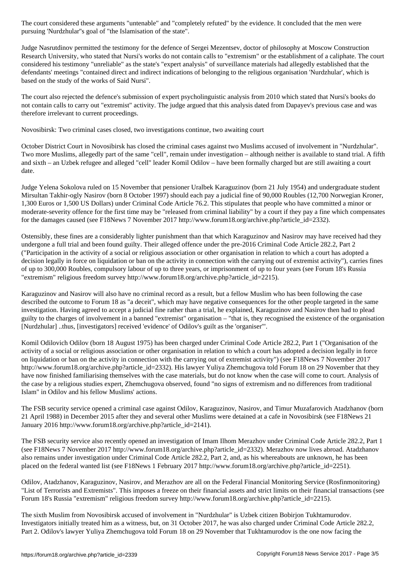pursuing 'Nurdzhular''s goal of "the Islamisation of the state".

Judge Nasrutdinov permitted the testimony for the defence of Sergei Mezentsev, doctor of philosophy at Moscow Construction Research University, who stated that Nursi's works do not contain calls to "extremism" or the establishment of a caliphate. The court considered his testimony "unreliable" as the state's "expert analysis" of surveillance materials had allegedly established that the defendants' meetings "contained direct and indirect indications of belonging to the religious organisation 'Nurdzhular', which is based on the study of the works of Said Nursi".

The court also rejected the defence's submission of expert psycholinguistic analysis from 2010 which stated that Nursi's books do not contain calls to carry out "extremist" activity. The judge argued that this analysis dated from Dapayev's previous case and was therefore irrelevant to current proceedings.

Novosibirsk: Two criminal cases closed, two investigations continue, two awaiting court

October District Court in Novosibirsk has closed the criminal cases against two Muslims accused of involvement in "Nurdzhular". Two more Muslims, allegedly part of the same "cell", remain under investigation – although neither is available to stand trial. A fifth and sixth – an Uzbek refugee and alleged "cell" leader Komil Odilov – have been formally charged but are still awaiting a court date.

Judge Yelena Sokolova ruled on 15 November that pensioner Uralbek Karaguzinov (born 21 July 1954) and undergraduate student Mirsultan Takhir-ogly Nasirov (born 8 October 1997) should each pay a judicial fine of 90,000 Roubles (12,700 Norwegian Kroner, 1,300 Euros or 1,500 US Dollars) under Criminal Code Article 76.2. This stipulates that people who have committed a minor or moderate-severity offence for the first time may be "released from criminal liability" by a court if they pay a fine which compensates for the damages caused (see F18News 7 November 2017 http://www.forum18.org/archive.php?article\_id=2332).

Ostensibly, these fines are a considerably lighter punishment than that which Karaguzinov and Nasirov may have received had they undergone a full trial and been found guilty. Their alleged offence under the pre-2016 Criminal Code Article 282.2, Part 2 ("Participation in the activity of a social or religious association or other organisation in relation to which a court has adopted a decision legally in force on liquidation or ban on the activity in connection with the carrying out of extremist activity"), carries fines of up to 300,000 Roubles, compulsory labour of up to three years, or imprisonment of up to four years (see Forum 18's Russia "extremism" religious freedom survey http://www.forum18.org/archive.php?article\_id=2215).

Karaguzinov and Nasirov will also have no criminal record as a result, but a fellow Muslim who has been following the case described the outcome to Forum 18 as "a deceit", which may have negative consequences for the other people targeted in the same investigation. Having agreed to accept a judicial fine rather than a trial, he explained, Karaguzinov and Nasirov then had to plead guilty to the charges of involvement in a banned "extremist" organisation – "that is, they recognised the existence of the organisation [Nurdzhular] ..thus, [investigators] received 'evidence' of Odilov's guilt as the 'organiser'".

Komil Odilovich Odilov (born 18 August 1975) has been charged under Criminal Code Article 282.2, Part 1 ("Organisation of the activity of a social or religious association or other organisation in relation to which a court has adopted a decision legally in force on liquidation or ban on the activity in connection with the carrying out of extremist activity") (see F18News 7 November 2017 http://www.forum18.org/archive.php?article\_id=2332). His lawyer Yuliya Zhemchugova told Forum 18 on 29 November that they have now finished familiarising themselves with the case materials, but do not know when the case will come to court. Analysis of the case by a religious studies expert, Zhemchugova observed, found "no signs of extremism and no differences from traditional Islam" in Odilov and his fellow Muslims' actions.

The FSB security service opened a criminal case against Odilov, Karaguzinov, Nasirov, and Timur Muzafarovich Atadzhanov (born 21 April 1988) in December 2015 after they and several other Muslims were detained at a cafe in Novosibirsk (see F18News 21 January 2016 http://www.forum18.org/archive.php?article\_id=2141).

The FSB security service also recently opened an investigation of Imam Ilhom Merazhov under Criminal Code Article 282.2, Part 1 (see F18News 7 November 2017 http://www.forum18.org/archive.php?article\_id=2332). Merazhov now lives abroad. Atadzhanov also remains under investigation under Criminal Code Article 282.2, Part 2, and, as his whereabouts are unknown, he has been placed on the federal wanted list (see F18News 1 February 2017 http://www.forum18.org/archive.php?article\_id=2251).

Odilov, Atadzhanov, Karaguzinov, Nasirov, and Merazhov are all on the Federal Financial Monitoring Service (Rosfinmonitoring) "List of Terrorists and Extremists". This imposes a freeze on their financial assets and strict limits on their financial transactions (see Forum 18's Russia "extremism" religious freedom survey http://www.forum18.org/archive.php?article\_id=2215).

The sixth Muslim from Novosibirsk accused of involvement in "Nurdzhular" is Uzbek citizen Bobirjon Tukhtamurodov. Investigators initially treated him as a witness, but, on 31 October 2017, he was also charged under Criminal Code Article 282.2, Part 2. Odilov's lawyer Yuliya Zhemchugova told Forum 18 on 29 November that Tukhtamurodov is the one now facing the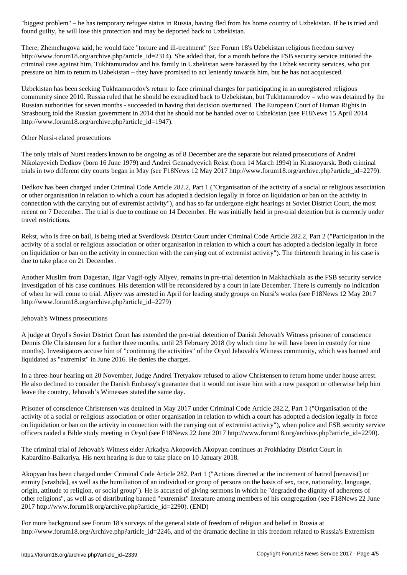found guilty, he will lose this protection and may be deported back to Uzbekistan.

There, Zhemchugova said, he would face "torture and ill-treatment" (see Forum 18's Uzbekistan religious freedom survey http://www.forum18.org/archive.php?article\_id=2314). She added that, for a month before the FSB security service initiated the criminal case against him, Tukhtamurodov and his family in Uzbekistan were harassed by the Uzbek security services, who put pressure on him to return to Uzbekistan – they have promised to act leniently towards him, but he has not acquiesced.

Uzbekistan has been seeking Tukhtamurodov's return to face criminal charges for participating in an unregistered religious community since 2010. Russia ruled that he should be extradited back to Uzbekistan, but Tukhtamurodov – who was detained by the Russian authorities for seven months - succeeded in having that decision overturned. The European Court of Human Rights in Strasbourg told the Russian government in 2014 that he should not be handed over to Uzbekistan (see F18News 15 April 2014 http://www.forum18.org/archive.php?article\_id=1947).

## Other Nursi-related prosecutions

The only trials of Nursi readers known to be ongoing as of 8 December are the separate but related prosecutions of Andrei Nikolayevich Dedkov (born 16 June 1979) and Andrei Gennadyevich Rekst (born 14 March 1994) in Krasnoyarsk. Both criminal trials in two different city courts began in May (see F18News 12 May 2017 http://www.forum18.org/archive.php?article\_id=2279).

Dedkov has been charged under Criminal Code Article 282.2, Part 1 ("Organisation of the activity of a social or religious association or other organisation in relation to which a court has adopted a decision legally in force on liquidation or ban on the activity in connection with the carrying out of extremist activity"), and has so far undergone eight hearings at Soviet District Court, the most recent on 7 December. The trial is due to continue on 14 December. He was initially held in pre-trial detention but is currently under travel restrictions.

Rekst, who is free on bail, is being tried at Sverdlovsk District Court under Criminal Code Article 282.2, Part 2 ("Participation in the activity of a social or religious association or other organisation in relation to which a court has adopted a decision legally in force on liquidation or ban on the activity in connection with the carrying out of extremist activity"). The thirteenth hearing in his case is due to take place on 21 December.

Another Muslim from Dagestan, Ilgar Vagif-ogly Aliyev, remains in pre-trial detention in Makhachkala as the FSB security service investigation of his case continues. His detention will be reconsidered by a court in late December. There is currently no indication of when he will come to trial. Aliyev was arrested in April for leading study groups on Nursi's works (see F18News 12 May 2017 http://www.forum18.org/archive.php?article\_id=2279)

## Jehovah's Witness prosecutions

A judge at Oryol's Soviet District Court has extended the pre-trial detention of Danish Jehovah's Witness prisoner of conscience Dennis Ole Christensen for a further three months, until 23 February 2018 (by which time he will have been in custody for nine months). Investigators accuse him of "continuing the activities" of the Oryol Jehovah's Witness community, which was banned and liquidated as "extremist" in June 2016. He denies the charges.

In a three-hour hearing on 20 November, Judge Andrei Tretyakov refused to allow Christensen to return home under house arrest. He also declined to consider the Danish Embassy's guarantee that it would not issue him with a new passport or otherwise help him leave the country, Jehovah's Witnesses stated the same day.

Prisoner of conscience Christensen was detained in May 2017 under Criminal Code Article 282.2, Part 1 ("Organisation of the activity of a social or religious association or other organisation in relation to which a court has adopted a decision legally in force on liquidation or ban on the activity in connection with the carrying out of extremist activity"), when police and FSB security service officers raided a Bible study meeting in Oryol (see F18News 22 June 2017 http://www.forum18.org/archive.php?article\_id=2290).

The criminal trial of Jehovah's Witness elder Arkadya Akopovich Akopyan continues at Prokhladny District Court in Kabardino-Balkariya. His next hearing is due to take place on 10 January 2018.

Akopyan has been charged under Criminal Code Article 282, Part 1 ("Actions directed at the incitement of hatred [nenavist] or enmity [vrazhda], as well as the humiliation of an individual or group of persons on the basis of sex, race, nationality, language, origin, attitude to religion, or social group"). He is accused of giving sermons in which he "degraded the dignity of adherents of other religions", as well as of distributing banned "extremist" literature among members of his congregation (see F18News 22 June 2017 http://www.forum18.org/archive.php?article\_id=2290). (END)

For more background see Forum 18's surveys of the general state of freedom of religion and belief in Russia at http://www.forum18.org/Archive.php?article\_id=2246, and of the dramatic decline in this freedom related to Russia's Extremism